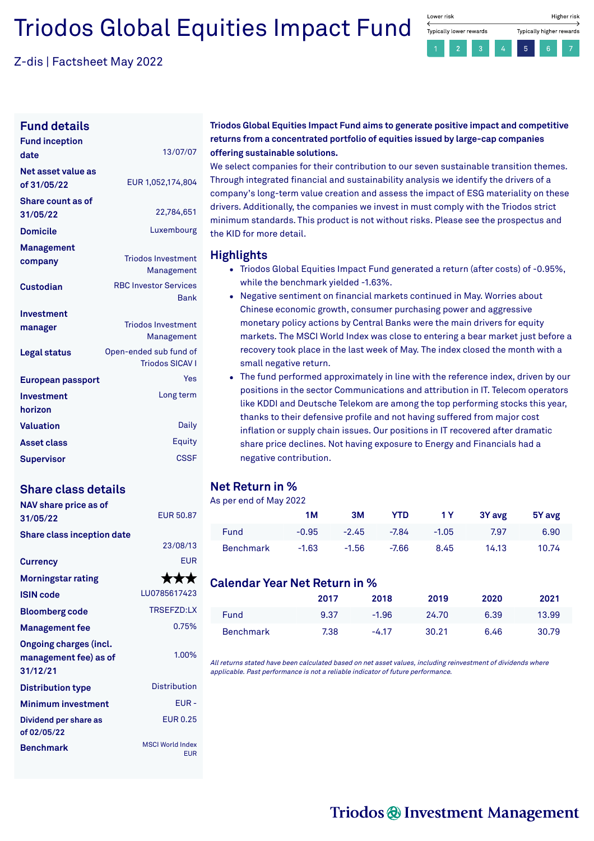# Triodos Global Equities Impact Fund

Z-dis | Factsheet May 2022



### **Fund details**

| <b>Fund inception</b><br>date     | 13/07/07                                    |
|-----------------------------------|---------------------------------------------|
| Net asset value as<br>of 31/05/22 | EUR 1,052,174,804                           |
| Share count as of<br>31/05/22     | 22,784,651                                  |
| <b>Domicile</b>                   | Luxembourg                                  |
| Management                        |                                             |
| company                           | <b>Triodos Investment</b>                   |
|                                   | Management                                  |
| <b>Custodian</b>                  | <b>RBC Investor Services</b><br><b>Bank</b> |
| Investment                        |                                             |
| manager                           | <b>Triodos Investment</b>                   |
|                                   | Management                                  |
| <b>Legal status</b>               | Open-ended sub fund of                      |
|                                   | <b>Triodos SICAV I</b>                      |
| European passport                 | Yes                                         |
| Investment                        | Long term                                   |
| horizon                           |                                             |
| <b>Valuation</b>                  | Daily                                       |
| <b>Asset class</b>                | Equity                                      |
| <b>Supervisor</b>                 | CSSE                                        |

### **Share class details**

| NAV share price as of<br>31/05/22                                  | <b>FUR 50.87</b>                      |
|--------------------------------------------------------------------|---------------------------------------|
| <b>Share class inception date</b>                                  | 23/08/13                              |
| <b>Currency</b>                                                    | <b>EUR</b>                            |
| <b>Morningstar rating</b>                                          | ★★★                                   |
| <b>ISIN</b> code                                                   | LU0785617423                          |
| <b>Bloomberg code</b>                                              | <b>TRSFFZD:IX</b>                     |
| <b>Management fee</b>                                              | 0.75%                                 |
| <b>Ongoing charges (incl.</b><br>management fee) as of<br>31/12/21 | 1.00%                                 |
| <b>Distribution type</b>                                           | Distribution                          |
| <b>Minimum investment</b>                                          | $F$ UR -                              |
| Dividend per share as<br>of 02/05/22                               | <b>FUR0.25</b>                        |
| <b>Benchmark</b>                                                   | <b>MSCI World Index</b><br><b>EUR</b> |

### **Triodos Global Equities Impact Fund aims to generate positive impact and competitive returns from a concentrated portfolio of equities issued by large-cap companies offering sustainable solutions.**

We select companies for their contribution to our seven sustainable transition themes. Through integrated financial and sustainability analysis we identify the drivers of a company's long-term value creation and assess the impact of ESG materiality on these drivers. Additionally, the companies we invest in must comply with the Triodos strict minimum standards. This product is not without risks. Please see the prospectus and the KID for more detail.

### **Highlights**

- Triodos Global Equities Impact Fund generated a return (after costs) of -0.95%. while the benchmark yielded -1.63%.
- Negative sentiment on financial markets continued in May. Worries about Chinese economic growth, consumer purchasing power and aggressive monetary policy actions by Central Banks were the main drivers for equity markets. The MSCI World Index was close to entering a bear market just before a recovery took place in the last week of May. The index closed the month with a small negative return.
- The fund performed approximately in line with the reference index, driven by our positions in the sector Communications and attribution in IT. Telecom operators like KDDI and Deutsche Telekom are among the top performing stocks this year, thanks to their defensive profile and not having suffered from major cost inflation or supply chain issues. Our positions in IT recovered after dramatic share price declines. Not having exposure to Energy and Financials had a negative contribution.

### **Net Return in %**

### As per end of May 2022

|                  | <b>1M</b> | 3M      | YTD.    | 1 Y I   | 3Y avg | 5Y avg |
|------------------|-----------|---------|---------|---------|--------|--------|
| <b>Fund</b>      | $-0.95$   | $-2.45$ | -7.84   | $-1.05$ | 7.97   | 6.90   |
| <b>Benchmark</b> | $-1.63$   | $-1.56$ | $-7.66$ | 8.45    | 14.13  | 10.74  |

### **Calendar Year Net Return in %**

|                  | 2017 | 2018    | 2019  | 2020 | 2021  |
|------------------|------|---------|-------|------|-------|
| Fund             | 9.37 | $-1.96$ | 24.70 | 6.39 | 13.99 |
| <b>Benchmark</b> | 7.38 | $-4.17$ | 30.21 | 6.46 | 30.79 |

All returns stated have been calculated based on net asset values, including reinvestment of dividends where applicable. Past performance is not <sup>a</sup> reliable indicator of future performance.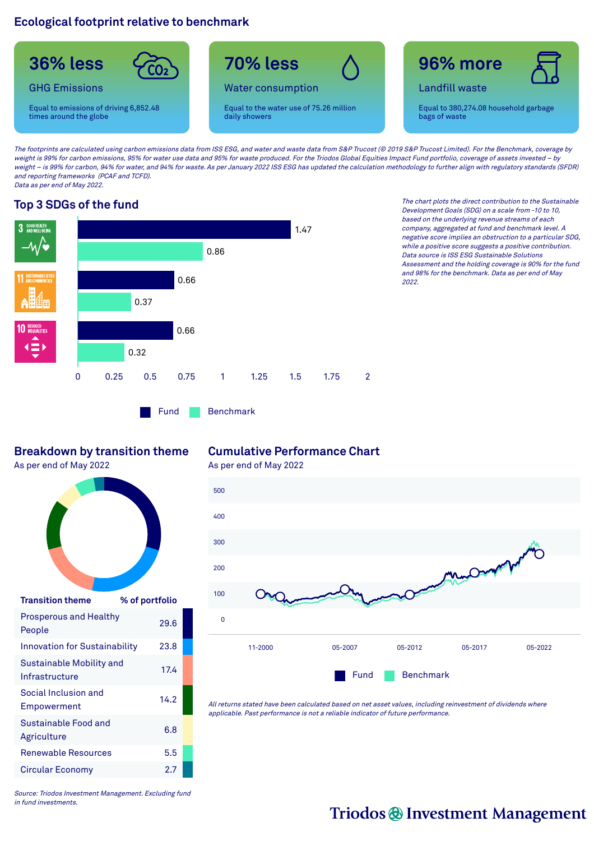### **Ecological footprint relative to benchmark**



The footprints are calculated using carbon emissions data from ISS ESG, and water and waste data from S&P Trucost (@ 2019 S&P Trucost Limited). For the Benchmark, coverage by weight is 99% for carbon emissions, 95% for water use data and 95% for waste produced. For the Triodos Global Equities Impact Fund portfolio, coverage of assets invested – by weight – is 99% for carbon, 94% for water, and 94% for waste. As per January 2022 ISS ESG has updated the calculation methodology to further align with regulatory standards (SFDR) and reporting frameworks (PCAF and TCFD). Data as per end of May 2022.



**Top 3 SDGs of the fund** The chart plots the direct contribution to the Sustainable Development Goals (SDG) on <sup>a</sup> scale from -10 to 10, based on the underlying revenue streams of each company, aggregated at fund and benchmark level. A negative score implies an obstruction to <sup>a</sup> particular SDG, while <sup>a</sup> positive score suggests <sup>a</sup> positive contribution. Data source is ISS ESG Sustainable Solutions Assessment and the holding coverage is 90% for the fund and 98% for the benchmark. Data as per end of May 2022.

### **Breakdown by transition theme**

As per end of May 2022



| <b>Transition theme</b>                    | % of portfolio |
|--------------------------------------------|----------------|
| <b>Prosperous and Healthy</b><br>People    | 29.6           |
| <b>Innovation for Sustainability</b>       | 23.8           |
| Sustainable Mobility and<br>Infrastructure | 17.4           |
| Social Inclusion and<br>Empowerment        | 14.2           |
| Sustainable Food and<br>Agriculture        | 6.8            |
| <b>Renewable Resources</b>                 | 5.5            |
| Circular Economy                           | 2.7            |

### **Cumulative Performance Chart**

As per end of May 2022



All returns stated have been calculated based on net asset values, including reinvestment of dividends where applicable. Past performance is not <sup>a</sup> reliable indicator of future performance.

Source: Triodos Investment Management. Excluding fund in fund investments.

## Triodos @ Investment Management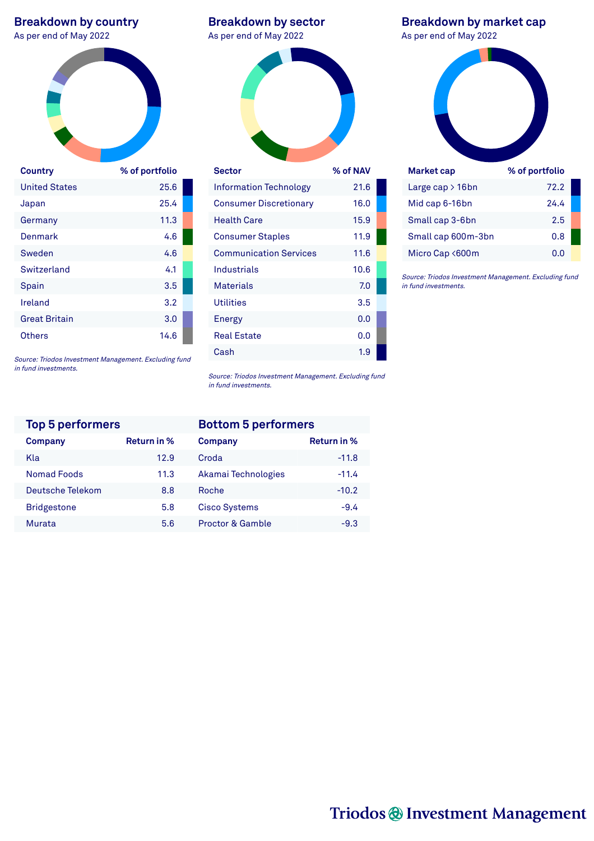# **Breakdown by country**<br>As per end of May 2022



| Country              | % of portfolio |
|----------------------|----------------|
| <b>United States</b> | 25.6           |
| Japan                | 25.4           |
| Germany              | 11.3           |
| Denmark              | 4.6            |
| Sweden               | 4.6            |
| Switzerland          | 4.1            |
| Spain                | 3.5            |
| Ireland              | 3.2            |
| <b>Great Britain</b> | 3.0            |
| Others               | 14.6           |

**Breakdown by sector** As per end of May 2022 As per end of May 2022



| Information Technology        | 21.6 |  |
|-------------------------------|------|--|
| <b>Consumer Discretionary</b> | 16.0 |  |
| <b>Health Care</b>            | 15.9 |  |
| <b>Consumer Staples</b>       | 11.9 |  |
| <b>Communication Services</b> | 11.6 |  |
| Industrials                   | 10.6 |  |
| <b>Materials</b>              | 7.0  |  |
| <b>Utilities</b>              | 3.5  |  |
| <b>Energy</b>                 | 0.0  |  |
| <b>Real Estate</b>            | 0.0  |  |
| Cash                          | 1.9  |  |

**Breakdown by market cap**



Source: Triodos Investment Management. Excluding fund in fund investments.

Micro Cap <600m 0.0

Source: Triodos Investment Management. Excluding fund in fund investments.

| <b>Top 5 performers</b> |             | <b>Bottom 5 performers</b> |   |
|-------------------------|-------------|----------------------------|---|
| Company                 | Return in % | Company                    | R |
| Kla                     | 12.9        | Croda                      |   |
| <b>Nomad Foods</b>      | 11.3        | Akamai Technologies        |   |
| Deutsche Telekom        | 8.8         | Roche                      |   |
| <b>Bridgestone</b>      | 5.8         | <b>Cisco Systems</b>       |   |
| Murata                  | 5.6         | Proctor & Gamble           |   |

Source: Triodos Investment Management. Excluding fund in fund investments.

| <b>Top 5 performers</b> |             | <b>Bottom 5 performers</b>  |             |  |
|-------------------------|-------------|-----------------------------|-------------|--|
| <b>Company</b>          | Return in % | Company                     | Return in % |  |
| Kla                     | 12.9        | Croda                       | $-11.8$     |  |
| <b>Nomad Foods</b>      | 11.3        | Akamai Technologies         | $-11.4$     |  |
| Deutsche Telekom        | 8.8         | Roche                       | $-10.2$     |  |
| <b>Bridgestone</b>      | 5.8         | <b>Cisco Systems</b>        | $-9.4$      |  |
| Murata                  | 5.6         | <b>Proctor &amp; Gamble</b> | $-9.3$      |  |